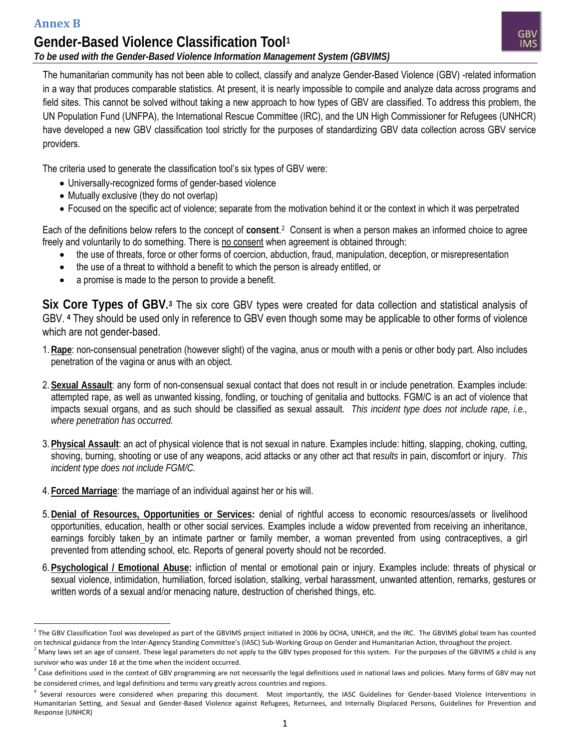l



The humanitarian community has not been able to collect, classify and analyze Gender-Based Violence (GBV) -related information in a way that produces comparable statistics. At present, it is nearly impossible to compile and analyze data across programs and field sites. This cannot be solved without taking a new approach to how types of GBV are classified. To address this problem, the UN Population Fund (UNFPA), the International Rescue Committee (IRC), and the UN High Commissioner for Refugees (UNHCR) have developed a new GBV classification tool strictly for the purposes of standardizing GBV data collection across GBV service providers.

The criteria used to generate the classification tool's six types of GBV were:

- Universally-recognized forms of gender-based violence
- Mutually exclusive (they do not overlap)
- Focused on the specific act of violence; separate from the motivation behind it or the context in which it was perpetrated

Each of the definitions below refers to the concept of consent.<sup>[2](#page-0-1)</sup> Consent is when a person makes an informed choice to agree freely and voluntarily to do something. There is no consent when agreement is obtained through:

- the use of threats, force or other forms of coercion, abduction, fraud, manipulation, deception, or misrepresentation
- the use of a threat to withhold a benefit to which the person is already entitled, or
- a promise is made to the person to provide a benefit.

**Six Core Types of GBV.[3](#page-0-2)** The six core GBV types were created for data collection and statistical analysis of GBV. **[4](#page-0-3)** They should be used only in reference to GBV even though some may be applicable to other forms of violence which are not gender-based.

- 1.**Rape**: non-consensual penetration (however slight) of the vagina, anus or mouth with a penis or other body part. Also includes penetration of the vagina or anus with an object.
- 2. **Sexual Assault**: any form of non-consensual sexual contact that does not result in or include penetration. Examples include: attempted rape, as well as unwanted kissing, fondling, or touching of genitalia and buttocks. FGM/C is an act of violence that impacts sexual organs, and as such should be classified as sexual assault. *This incident type does not include rape, i.e., where penetration has occurred.*
- 3. **Physical Assault**: an act of physical violence that is not sexual in nature. Examples include: hitting, slapping, choking, cutting, shoving, burning, shooting or use of any weapons, acid attacks or any other act that re*sults* in pain, discomfort or injury. *This incident type does not include FGM/C.*
- 4. **Forced Marriage***:* the marriage of an individual against her or his will.
- 5.**Denial of Resources, Opportunities or Services:** denial of rightful access to economic resources/assets or livelihood opportunities, education, health or other social services. Examples include a widow prevented from receiving an inheritance, earnings forcibly taken by an intimate partner or family member, a woman prevented from using contraceptives, a girl prevented from attending school, etc. Reports of general poverty should not be recorded.
- 6. **Psychological / Emotional Abuse:** infliction of mental or emotional pain or injury. Examples include: threats of physical or sexual violence, intimidation, humiliation, forced isolation, stalking, verbal harassment, unwanted attention, remarks, gestures or written words of a sexual and/or menacing nature, destruction of cherished things, etc.

<span id="page-0-0"></span> $1$  The GBV Classification Tool was developed as part of the GBVIMS project initiated in 2006 by OCHA, UNHCR, and the IRC. The GBVIMS global team has counted on technical guidance from the Inter-Agency Standing Committee's (IASC) Sub-Working Group on Gender and Humanitarian Action, throughout the project.

<span id="page-0-1"></span> $^2$  Many laws set an age of consent. These legal parameters do not apply to the GBV types proposed for this system. For the purposes of the GBVIMS a child is any survivor who was under 18 at the time when the incident occurred.

<span id="page-0-2"></span> $^3$  Case definitions used in the context of GBV programming are not necessarily the legal definitions used in national laws and policies. Many forms of GBV may not

<span id="page-0-3"></span>be considered crimes, and legal definitions and terms vary greatly across countries and regions.<br><sup>4</sup> Several resources were considered when preparing this document. Most importantly, the IASC Guidelines for Gender-based Vi Humanitarian Setting, and Sexual and Gender-Based Violence against Refugees, Returnees, and Internally Displaced Persons, Guidelines for Prevention and Response (UNHCR)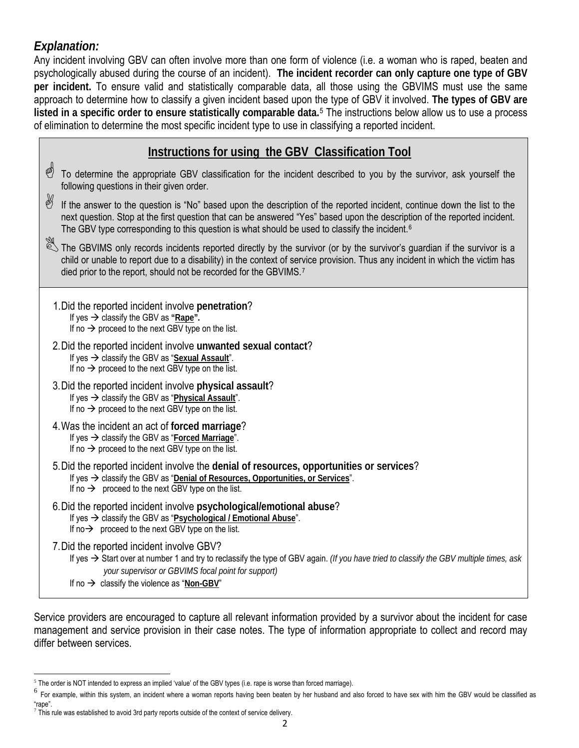## *Explanation:*

Any incident involving GBV can often involve more than one form of violence (i.e. a woman who is raped, beaten and psychologically abused during the course of an incident). **The incident recorder can only capture one type of GBV per incident.** To ensure valid and statistically comparable data, all those using the GBVIMS must use the same approach to determine how to classify a given incident based upon the type of GBV it involved. **The types of GBV are listed in a specific order to ensure statistically comparable data.**[5](#page-1-0) The instructions below allow us to use a process of elimination to determine the most specific incident type to use in classifying a reported incident.

|    | Instructions for using the GBV Classification Tool                                                                                                                                                                                                                                                                                                                 |
|----|--------------------------------------------------------------------------------------------------------------------------------------------------------------------------------------------------------------------------------------------------------------------------------------------------------------------------------------------------------------------|
| \$ | To determine the appropriate GBV classification for the incident described to you by the survivor, ask yourself the<br>following questions in their given order.                                                                                                                                                                                                   |
| B  | If the answer to the question is "No" based upon the description of the reported incident, continue down the list to the<br>next question. Stop at the first question that can be answered "Yes" based upon the description of the reported incident.<br>The GBV type corresponding to this question is what should be used to classify the incident. <sup>6</sup> |
|    | The GBVIMS only records incidents reported directly by the survivor (or by the survivor's guardian if the survivor is a<br>child or unable to report due to a disability) in the context of service provision. Thus any incident in which the victim has<br>died prior to the report, should not be recorded for the GBVIMS. <sup>7</sup>                          |
|    | 1. Did the reported incident involve penetration?<br>If yes $\rightarrow$ classify the GBV as "Rape".<br>If no $\rightarrow$ proceed to the next GBV type on the list.                                                                                                                                                                                             |
|    | 2. Did the reported incident involve unwanted sexual contact?<br>If yes $\rightarrow$ classify the GBV as "Sexual Assault".<br>If no $\rightarrow$ proceed to the next GBV type on the list.                                                                                                                                                                       |
|    | 3. Did the reported incident involve physical assault?<br>If yes $\rightarrow$ classify the GBV as "Physical Assault".<br>If no $\rightarrow$ proceed to the next GBV type on the list.                                                                                                                                                                            |
|    | 4. Was the incident an act of forced marriage?<br>If yes $\rightarrow$ classify the GBV as "Forced Marriage".<br>If no $\rightarrow$ proceed to the next GBV type on the list.                                                                                                                                                                                     |
|    | 5. Did the reported incident involve the denial of resources, opportunities or services?<br>If yes $\rightarrow$ classify the GBV as "Denial of Resources, Opportunities, or Services".<br>If no $\rightarrow$ proceed to the next GBV type on the list.                                                                                                           |
|    | 6. Did the reported incident involve psychological/emotional abuse?<br>If yes → classify the GBV as "Psychological / Emotional Abuse".<br>If $no \rightarrow$ proceed to the next GBV type on the list.                                                                                                                                                            |
|    | 7. Did the reported incident involve GBV?<br>If yes $\rightarrow$ Start over at number 1 and try to reclassify the type of GBV again. (If you have tried to classify the GBV multiple times, ask<br>your supervisor or GBVIMS focal point for support)<br>If no $\rightarrow$ classify the violence as "Non-GBV"                                                   |

Service providers are encouraged to capture all relevant information provided by a survivor about the incident for case management and service provision in their case notes. The type of information appropriate to collect and record may differ between services.

 $\overline{\phantom{0}}$ <sup>5</sup> The order is NOT intended to express an implied 'value' of the GBV types (i.e. rape is worse than forced marriage).

<span id="page-1-1"></span><span id="page-1-0"></span><sup>&</sup>lt;sup>6</sup> For example, within this system, an incident where a woman reports having been beaten by her husband and also forced to have sex with him the GBV would be classified as "rape".

<span id="page-1-2"></span> $7$  This rule was established to avoid 3rd party reports outside of the context of service delivery.